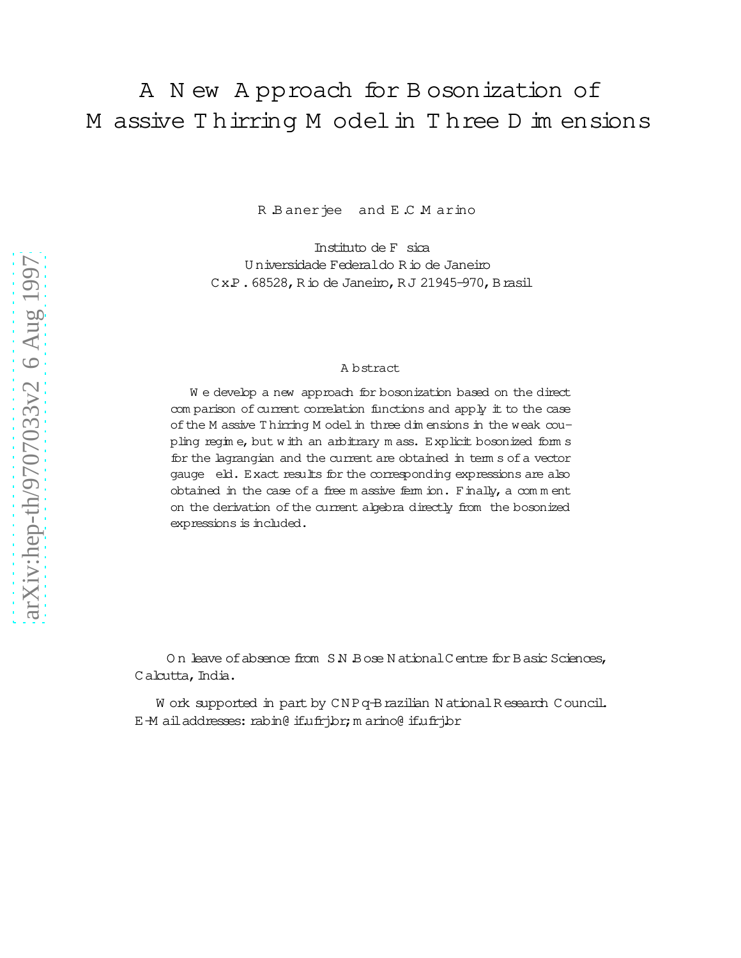## A N ew A pproach for B osonization of M assive T hirring M odelin T hree D im ensions

R Banerjee and E C M arino

Instituto de Fsica U niversidade Federaldo Rio de Janeiro Cx.P.68528, Rio de Janeiro, RJ 21945-970, Brasil

## A bstract

W e develop a new approach for bosonization based on the direct com parison of current correlation functions and apply it to the case of the M assive Thirring M odel in three dim ensions in the weak coupling regim e, but w ith an arbitrary m ass. Explicit bosonized form s for the lagrangian and the current are obtained in term s of a vector gauge eld. Exact results for the corresponding expressions are also obtained in the case of a free m assive ferm ion. Finally, a com m ent on the derivation of the current algebra directly from the bosonized expressions is included.

On leave of absence from S.N. Bose N ational Centre for Basic Sciences, Calcutta, India.

W ork supported in part by CNPq-Brazilian N ational Research Council. E-M ailaddresses: rabin@ if.ufrj.br;m arino@ if.ufrj.br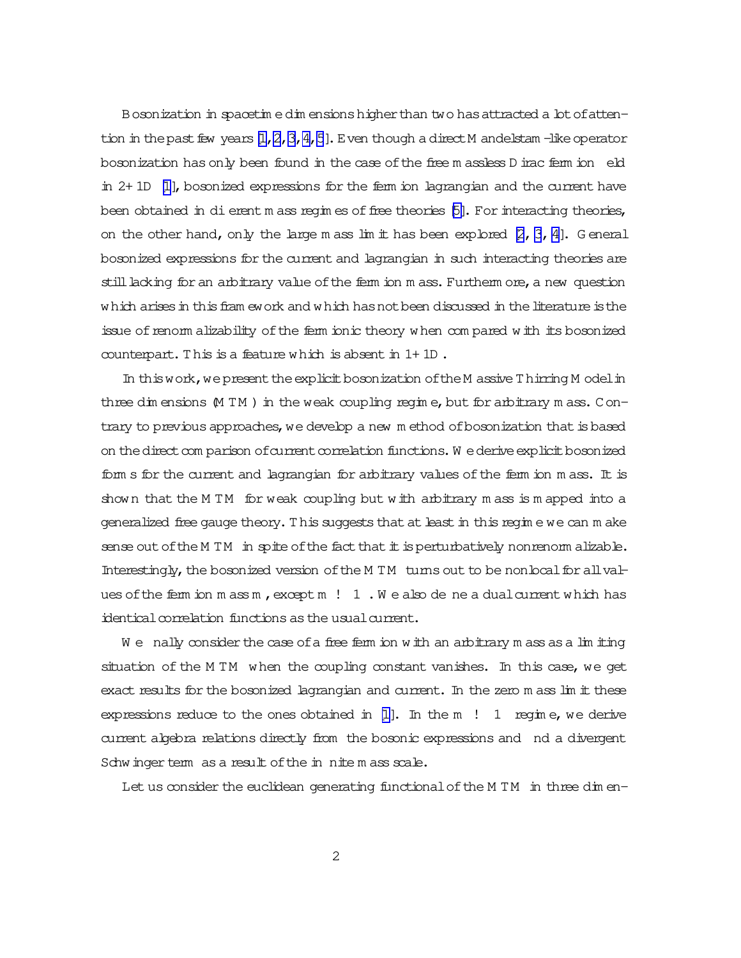Bosonization in spacetime dimensions higher than two has attracted a lot of attention in the past few years  $[1, 2, 3, 4, 5]$ . Even though a direct M andelstam -like operator bosonization has only been found in the case of the free m assless D irac ferm ion eld in  $2+1D$  [1], bosonized expressions for the ferm ion lagrangian and the current have been obtained in di erent m ass regim es of free theories [5]. For interacting theories, on the other hand, only the large m ass lim it has been explored  $[2, 3, 4]$ . General bosonized expressions for the current and lagrangian in such interacting theories are still lacking for an arbitrary value of the fem ion m ass. Furthem ore, a new question which arises in this fram ework and which has not been discussed in the literature is the issue of renorm alizability of the ferm ionic theory when compared with its bosonized counterpart. This is a feature which is absent in  $1+1D$ .

In this work, we present the explicit bosonization of the M assive Thirring M odel in three dimensions  $(M TM)$  in the weak coupling regime, but for arbitrary mass. Contrary to previous approaches, we develop a new method of bosonization that is based on the direct comparison of current correlation functions. We derive explicit bosonized fom s for the current and lagrangian for arbitrary values of the fem ion m ass. It is shown that the MTM for weak coupling but with arbitrary mass is mapped into a generalized free gauge theory. This suggests that at least in this regime we can make sense out of the M TM in spite of the fact that it is perturbatively nonrenorm alizable. Interestingly, the bosonized version of the M TM tums out to be nonlocal for all values of the fem ion mass m, except m  $! 1$ . We also de ne a dual current which has identical correlation functions as the usual current.

We nally consider the case of a free ferm ion with an arbitrary m ass as a  $\lim$  in iting situation of the MTM when the coupling constant vanishes. In this case, we get exact results for the bosonized lagrangian and current. In the zero m ass lim it these expressions reduce to the ones obtained in  $[1]$ . In the m ! 1 regime, we derive current algebra relations directly from the bosonic expressions and nd a divergent Schwinger term as a result of the in nite mass scale.

Let us consider the euclidean generating functional of the M TM in three dimen-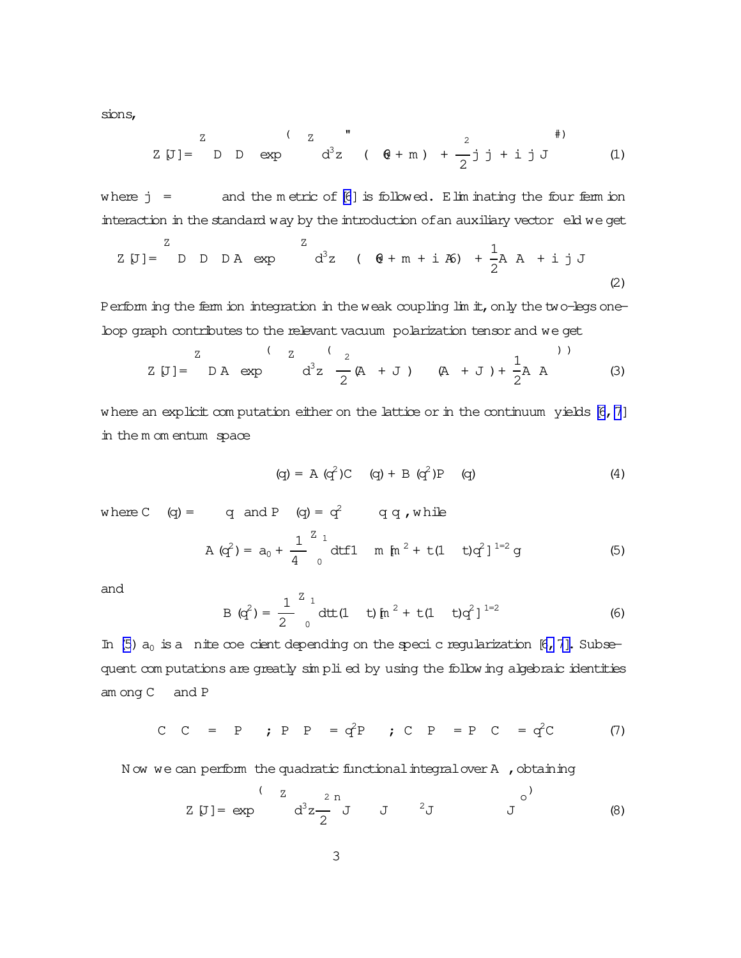<span id="page-2-0"></span>sions,

Z[J]= Z D D exp ( Z d 3z " ( 6@ + m ) + 2 2 j j + ij J #) (1)

where  $j =$  and the m etric of [\[6](#page-7-0)] is followed. Elim inating the four ferm ion interaction in the standard way by the introduction of an auxiliary vector eld we get

$$
Z [J] = D D D A exp \t Z
$$
  

$$
d^{3}z (6 + m + i 46) + \frac{1}{2} A A + i j J
$$
  
(2)

Perform ing the ferm ion integration in the weak coupling lim it, only the two-legs oneloop graph contributes to the relevant vacuum polarization tensor and we get

Z[J]= Z D A exp ( Z d 3z ( 2 2 (A + J )(A + J )+ 1 2 A A ) ) (3)

where an explicit com putation either on the lattice or in the continuum yields [\[6](#page-7-0),[7](#page-7-0)] in the m om entum space

(q)= A(q <sup>2</sup>)C(q)+ B (q <sup>2</sup>)P(q) (4)

where C  $(q) = q$  and P  $(q) = q^2$  q q, while

$$
A (q2) = a0 + \frac{1}{4} \int_{0}^{Z} dt f1 \quad m \text{ [m}^{2} + t(1 - t)q^{2}]^{1=2} g
$$
 (5)

and

B (q<sup>2</sup>) = 
$$
\frac{1}{2} \int_{0}^{Z} dt t (1 - t) [n^{2} + t(1 - t)q^{2}]^{1=2}
$$
 (6)

In (5)  $a_0$  is a nite coe cient depending on the speci c regularization [6, 7]. Subsequent com putations are greatly sim plied by using the following algebraic identities am ong C and P

C C = P ; P P =  $q^2P$  ; C P = P C =  $q^2C$  (7)

N ow we can perform the quadratic functional integral over A , obtaining

$$
Z [J] = exp \t\t d^{3} z \frac{2 n}{2} J \t\t J^{2} J \t\t (8)
$$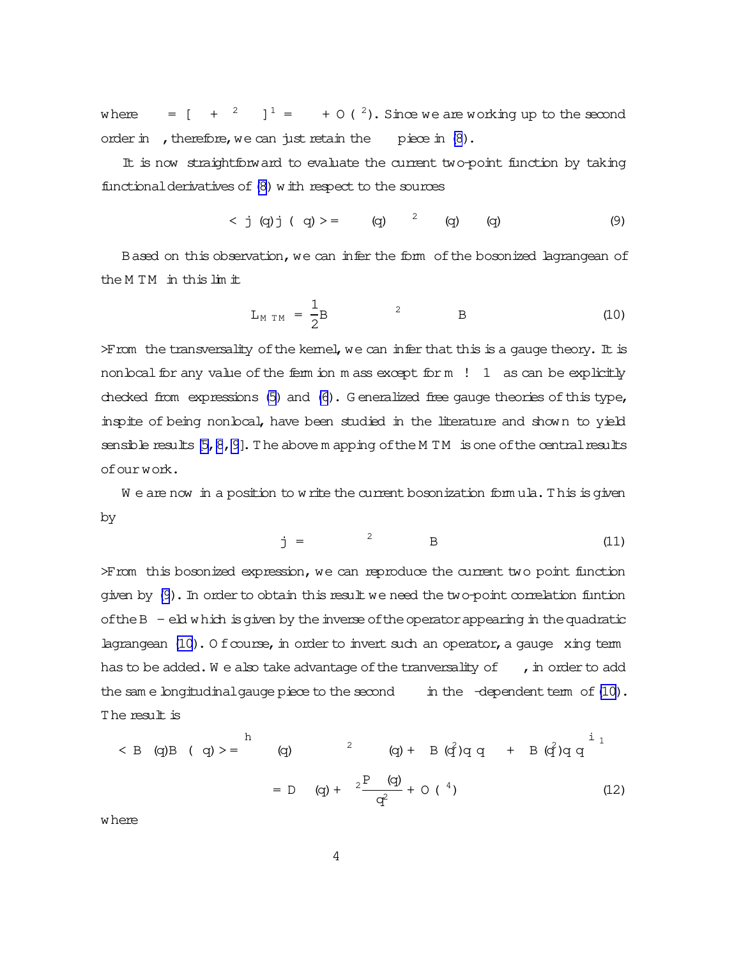<span id="page-3-0"></span>where  $=[ + \frac{2}{1} ]^{1} = + O(^{2})$ . Since we are working up to the second order in , therefore, we can just retain the piece in [\(8](#page-2-0)).

It is now straightforward to evaluate the current two-point function by taking functional derivatives of  $(8)$  with respect to the sources

$$
< j (q) j (q) > = (q) \quad (q) \quad (q) \quad (9)
$$

Based on this observation, we can infer the form of the bosonized lagrangean of the M TM in thislim it

$$
L_{M TM} = \frac{1}{2}B
$$
 2 B (10)

 $>$  From the transversality of the kernel, we can infer that this is a gauge theory. It is non boal for any value of the ferm ion m ass except for m  $! 1$  as can be explicitly checked from expressions [\(5\)](#page-2-0) and [\(6\)](#page-2-0). G eneralized free gauge theories of this type, inspite of being nonlocal, have been studied in the literature and shown to yield sensible results  $[5, 8, 9]$ . The above m apping of the M TM is one of the central results ofourwork.

 $W$  e are now in a position to write the current bosonization formula. This is given by

$$
j = \qquad \qquad ^2 \qquad \qquad B \qquad \qquad (11)
$$

>From this bosonized expression, we can reproduce the current two point function given by  $(9)$ . In order to obtain this result we need the two-point correlation funtion of the  $B - eId$  which is given by the inverse of the operator appearing in the quadratic lagrangean  $(10)$ . O f course, in order to invert such an operator, a gauge xing term has to be added. We also take advantage of the tranversality of  $\,$ , in order to add the sam e longitudinal gauge piece to the second in the  $-d$ ependent term of  $(10)$ . The result is

$$
\langle B \quad (q)B \quad (q) \rangle = \begin{pmatrix} 1 & q \\ q & q \end{pmatrix}
$$
  
= D (q) +  $2\frac{P(q)}{q^2} + O(4)$  (12)

where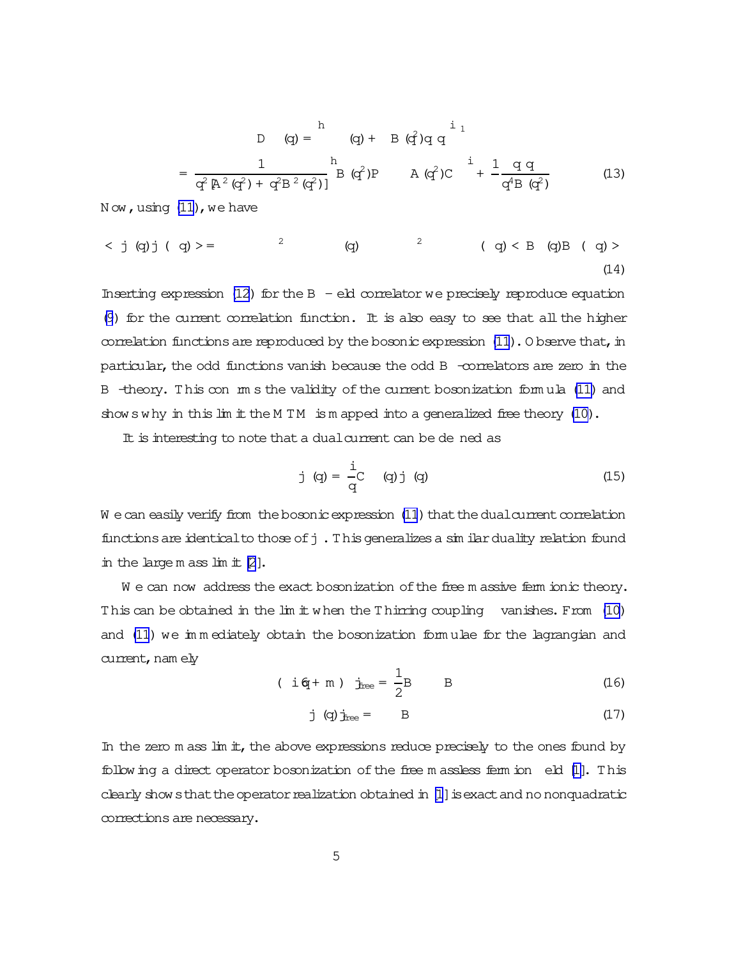<span id="page-4-0"></span>
$$
D \t(q) = \n\begin{array}{ccc}\n1 & \text{if } q \text{ and } q \\
\frac{1}{q^2 \left[ A^2 \left( q^2 \right) + q^2 \right] B^2 \left( q^2 \right) \left[ q \right]} & B \left( q^2 \right) P \\
\frac{1}{q^2 \left[ A^2 \left( q^2 \right) + q^2 \right] B^2 \left( q^2 \right)} & B \left( q^2 \right) P & A \left( q^2 \right) C & + \frac{1}{q^4 B \left( q^2 \right)}\n\end{array}\n\tag{13}
$$

 $N$  ow, using  $(11)$ , we have

 $< j$  (q)j ( q) > = 2   (q) <sup>2</sup> ( q) < B (q)B ( q) > (14)

Inserting expression [\(12\)](#page-3-0) for the  $B - eR$  correlator we precisely reproduce equation [\(9](#page-3-0)) for the current correlation function. It is also easy to see that all the higher correlation functions are reproduced by the bosonic expression  $(11)$ . O bserve that, in particular, the odd functions vanish because the odd B -correlators are zero in the B -theory. This con m s the validity of the current bosonization formula [\(11\)](#page-3-0) and shows why in this  $\lim$  it the M TM is m apped into a generalized free theory [\(10\)](#page-3-0).

It is interesting to note that a dual current can be de ned as

j (q) = 
$$
\frac{1}{q}
$$
 (q) j (q) (15)

W e can easily verify from the bosonic expression [\(11](#page-3-0)) that the dual current correlation functions are identical to those of  $j$ . This generalizes a similar duality relation found in the large m ass  $\lim$  if  $[2]$  $[2]$ .

We can now address the exact bosonization of the free m assive ferm ionic theory. This can be obtained in the lim it when the Thirring coupling vanishes. From [\(10\)](#page-3-0) and [\(11](#page-3-0)) we im m ediately obtain the bosonization form ulae for the lagrangian and current, nam ely

$$
(i\text{ of }+m) \text{ } j_{\text{free}} = \frac{1}{2}B
$$
 B (16)

j (q) j<sub>free</sub> = B 
$$
(17)
$$

In the zero  $m$  ass  $\text{Im } \pm$ , the above expressions reduce precisely to the ones found by following a direct operator bosonization of the free m assless ferm ion eld [\[1\]](#page-7-0). This clearly shows that the operator realization obtained in  $[1]$  is exact and no nonquadratic corrections are necessary.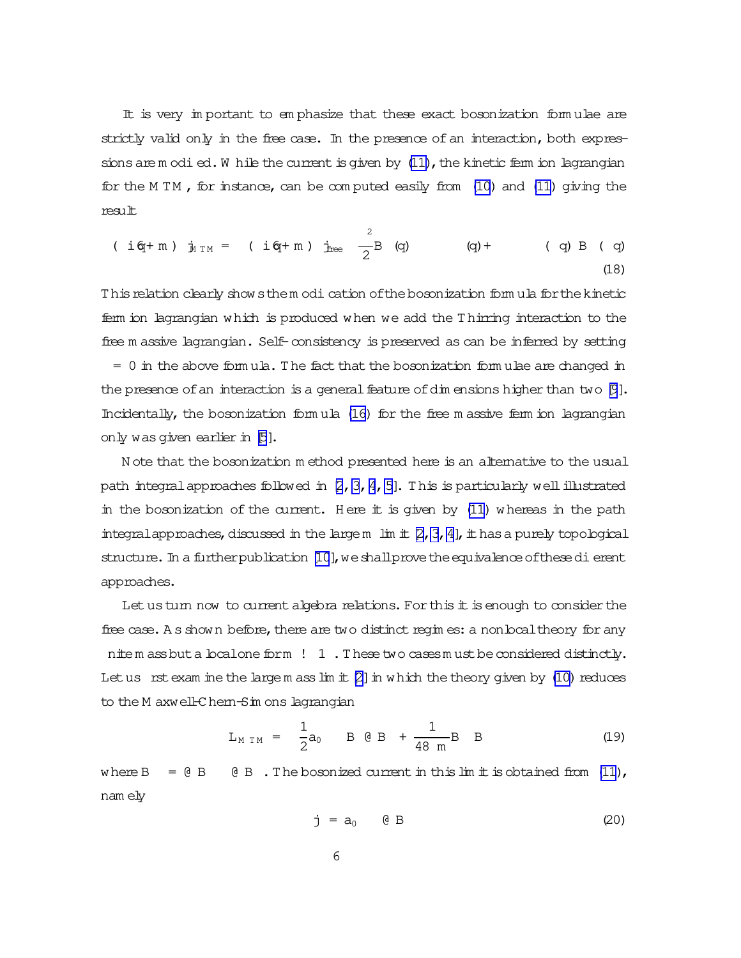It is very important to emphasize that these exact bosonization formulae are strictly valid only in the free case. In the presence of an interaction, both expressions are modied. While the current is given by  $(11)$ , the kinetic ferm ion lagrangian for the MTM, for instance, can be computed easily from  $(10)$  and  $(11)$  giving the result

$$
(i\text{ of }+m) \ j_{1 \text{ TM}} = (i\text{ of }+m) \ j_{\text{free}} \frac{2}{2}B \ (q) \qquad (q) + (q) B \ (q)
$$
\n(18)

This relation clearly show sthem odi cation of the bosonization form ula for the kinetic fem ion lagrangian which is produced when we add the Thirring interaction to the free m assive lagrangian. Self-consistency is preserved as can be inferred by setting  $= 0$  in the above formula. The fact that the bosonization formulae are changed in the presence of an interaction is a general feature of dim ensions higher than two  $[9]$ . Incidentally, the bosonization formula (16) for the free m assive ferm ion lagrangian only was given earlier in [5].

Note that the bosonization method presented here is an alternative to the usual path integral approaches followed in  $[2, 3, 4, 5]$ . This is particularly well illustrated in the bosonization of the current. Here it is given by (11) whereas in the path integral approaches, discussed in the large m  $\lim$  if  $\gtrsim$ , 3, 4], it has a purely topological structure. In a further publication [10], we shall prove the equivalence of these dierent approaches.

Let us turn now to current algebra relations. For this it is enough to consider the free case. As shown before, there are two distinct regimes: a nonboal theory for any nitem ass but a boalone form ! 1. These two cases must be considered distinctly. Let us rst exam ine the large m ass  $\lim_{t \to \infty}$  in which the theory given by (10) reduces to the M axwell-Chem-Sim ons lagrangian

$$
L_{M TM} = \frac{1}{2}a_0 \qquad B \quad \theta \quad B \quad + \frac{1}{48 \quad m}B \quad B \tag{19}
$$

where  $B = \theta B$  ( $\theta B$ ). The bosonized current in this limit is obtained from (11), nam ely

$$
j = a_0 \qquad \textcircled{B} \tag{20}
$$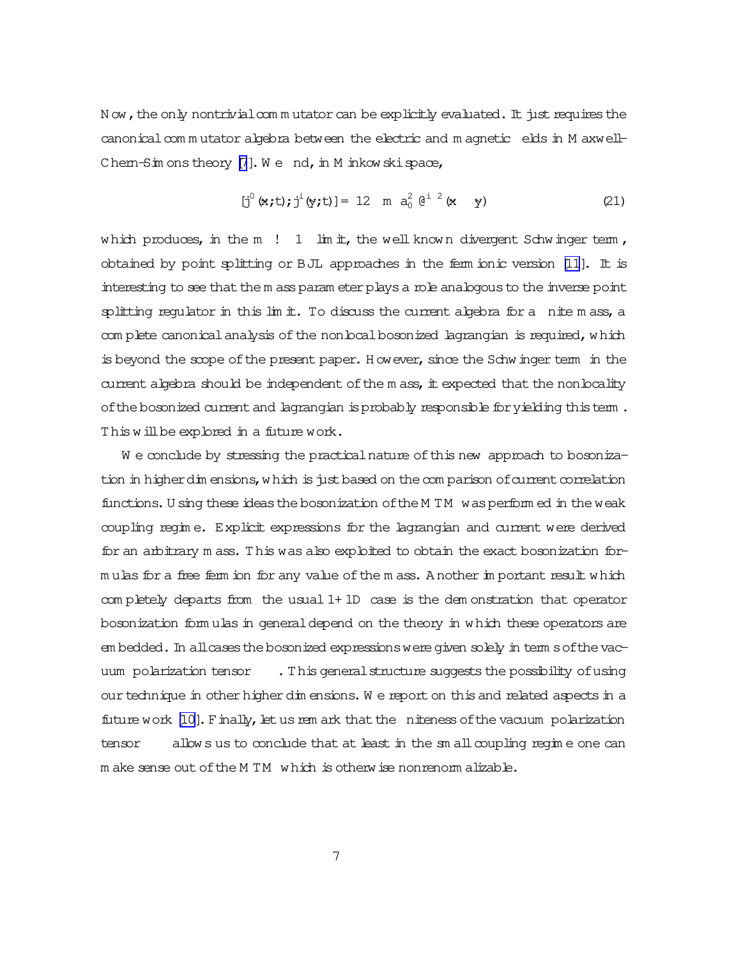N ow, the only nontrivial commutator can be explicitly evaluated. It just requires the canonical com m utator algebra between the electric and m agnetic elds in M axwell-Chem-Sim ons theory  $[7]$ . We nd, in M inkowski space,

$$
[j0 (x,t); ji (y,t)] = 12 \text{ m } a02 (ei 2 (x y) \qquad (21)
$$

which produces, in the  $m$  ! 1 lim it, the well known divergent Schwinger term, obtained by point splitting or BJL approaches in the ferm ionic version  $[11]$ . It is interesting to see that the m ass param eter plays a role analogous to the inverse point splitting regulator in this  $\lim$  it. To discuss the current algebra for a nite m ass, a com plete canonical analysis of the nonlocal bosonized lagrangian is required, which is beyond the scope of the present paper. However, since the Schwinger term in the current algebra should be independent of the m ass, it expected that the nonlocality of the bosonized current and lagrangian is probably responsible for yielding this term. This will be explored in a future work.

W e conclude by stressing the practical nature of this new approach to bosonization in higherdim ensions, which is just based on the com parison of current correlation functions. U sing these ideas the bosonization of the M TM was perform ed in the weak coupling regim e. Explicit expressions for the lagrangian and current were derived for an arbitrary m ass. This was also exploited to obtain the exact bosonization form ulas for a free ferm ion for any value ofthe m ass. A nother im portant result which com pletely departs from the usual 1+ 1D case is the dem onstration that operator bosonization form ulas in generaldepend on the theory in which these operators are em bedded. In allcases the bosonized expressions were given solely in term softhe vacuum polarization tensor . This general structure suggests the possibility of using our technique in other higher dim ensions. W e report on this and related aspects in a future work [\[10\]](#page-7-0). Finally, let us rem ark that the niteness of the vacuum polarization tensor allows us to conclude that at least in the sm all coupling regime one can m ake sense out of the M TM which is otherwise nonrenorm alizable.